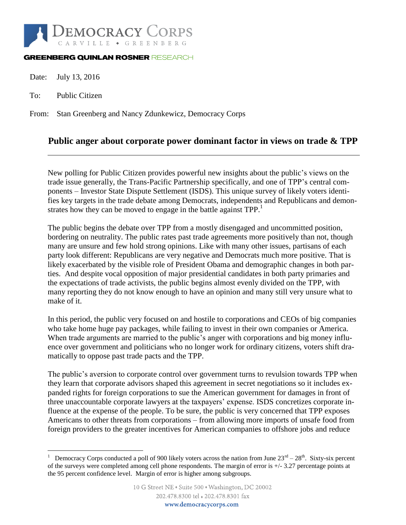

#### **GREENBERG QUINLAN ROSNER RESEARCH**

Date: July 13, 2016

To: Public Citizen

 $\overline{a}$ 

From: Stan Greenberg and Nancy Zdunkewicz, Democracy Corps

# **Public anger about corporate power dominant factor in views on trade & TPP**

New polling for Public Citizen provides powerful new insights about the public's views on the trade issue generally, the Trans-Pacific Partnership specifically, and one of TPP's central components – Investor State Dispute Settlement (ISDS). This unique survey of likely voters identifies key targets in the trade debate among Democrats, independents and Republicans and demonstrates how they can be moved to engage in the battle against TPP.<sup>1</sup>

The public begins the debate over TPP from a mostly disengaged and uncommitted position, bordering on neutrality. The public rates past trade agreements more positively than not, though many are unsure and few hold strong opinions. Like with many other issues, partisans of each party look different: Republicans are very negative and Democrats much more positive. That is likely exacerbated by the visible role of President Obama and demographic changes in both parties. And despite vocal opposition of major presidential candidates in both party primaries and the expectations of trade activists, the public begins almost evenly divided on the TPP, with many reporting they do not know enough to have an opinion and many still very unsure what to make of it.

In this period, the public very focused on and hostile to corporations and CEOs of big companies who take home huge pay packages, while failing to invest in their own companies or America. When trade arguments are married to the public's anger with corporations and big money influence over government and politicians who no longer work for ordinary citizens, voters shift dramatically to oppose past trade pacts and the TPP.

The public's aversion to corporate control over government turns to revulsion towards TPP when they learn that corporate advisors shaped this agreement in secret negotiations so it includes expanded rights for foreign corporations to sue the American government for damages in front of three unaccountable corporate lawyers at the taxpayers' expense. ISDS concretizes corporate influence at the expense of the people. To be sure, the public is very concerned that TPP exposes Americans to other threats from corporations – from allowing more imports of unsafe food from foreign providers to the greater incentives for American companies to offshore jobs and reduce

<sup>&</sup>lt;sup>1</sup> Democracy Corps conducted a poll of 900 likely voters across the nation from June  $23^{rd} - 28^{th}$ . Sixty-six percent of the surveys were completed among cell phone respondents. The margin of error is +/- 3.27 percentage points at the 95 percent confidence level. Margin of error is higher among subgroups.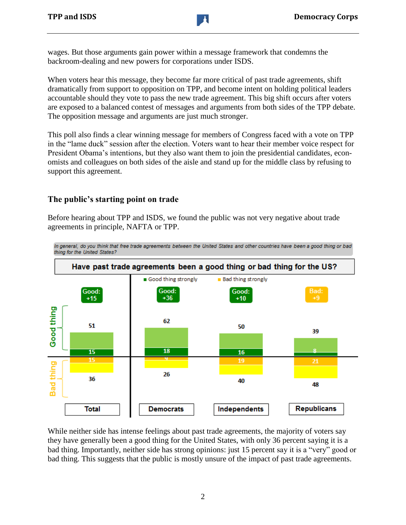wages. But those arguments gain power within a message framework that condemns the backroom-dealing and new powers for corporations under ISDS.

When voters hear this message, they become far more critical of past trade agreements, shift dramatically from support to opposition on TPP, and become intent on holding political leaders accountable should they vote to pass the new trade agreement. This big shift occurs after voters are exposed to a balanced contest of messages and arguments from both sides of the TPP debate. The opposition message and arguments are just much stronger.

This poll also finds a clear winning message for members of Congress faced with a vote on TPP in the "lame duck" session after the election. Voters want to hear their member voice respect for President Obama's intentions, but they also want them to join the presidential candidates, economists and colleagues on both sides of the aisle and stand up for the middle class by refusing to support this agreement.

# **The public's starting point on trade**

Before hearing about TPP and ISDS, we found the public was not very negative about trade agreements in principle, NAFTA or TPP.



While neither side has intense feelings about past trade agreements, the majority of voters say they have generally been a good thing for the United States, with only 36 percent saying it is a bad thing. Importantly, neither side has strong opinions: just 15 percent say it is a "very" good or bad thing. This suggests that the public is mostly unsure of the impact of past trade agreements.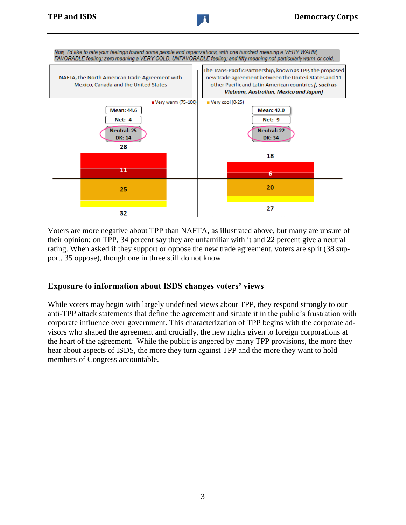

Voters are more negative about TPP than NAFTA, as illustrated above, but many are unsure of their opinion: on TPP, 34 percent say they are unfamiliar with it and 22 percent give a neutral rating. When asked if they support or oppose the new trade agreement, voters are split (38 support, 35 oppose), though one in three still do not know.

#### **Exposure to information about ISDS changes voters' views**

While voters may begin with largely undefined views about TPP, they respond strongly to our anti-TPP attack statements that define the agreement and situate it in the public's frustration with corporate influence over government. This characterization of TPP begins with the corporate advisors who shaped the agreement and crucially, the new rights given to foreign corporations at the heart of the agreement. While the public is angered by many TPP provisions, the more they hear about aspects of ISDS, the more they turn against TPP and the more they want to hold members of Congress accountable.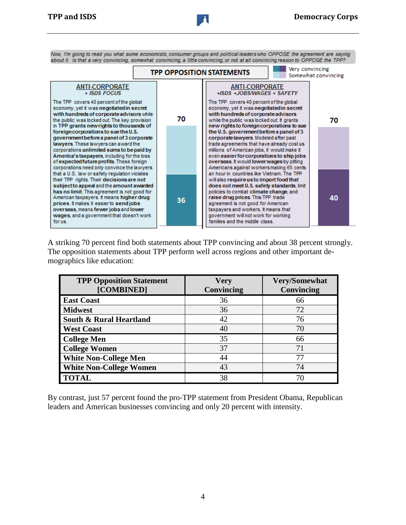Now, I'm going to read you what some economists, consumer groups and political leaders who OPPOSE the agreement are saying about it. Is that a very convincing, somewhat convincing, a little convincing, or not at all convincing reason to OPPOSE the TPP?



A striking 70 percent find both statements about TPP convincing and about 38 percent strongly. The opposition statements about TPP perform well across regions and other important demographics like education:

| <b>TPP Opposition Statement</b><br>[COMBINED] | Very<br><b>Convincing</b> | <b>Very/Somewhat</b><br>Convincing |
|-----------------------------------------------|---------------------------|------------------------------------|
| <b>East Coast</b>                             | 36                        | 66                                 |
| <b>Midwest</b>                                | 36                        | 72                                 |
| South & Rural Heartland                       | 42                        | 76                                 |
| <b>West Coast</b>                             | 40                        | 70                                 |
| <b>College Men</b>                            | 35                        | 66                                 |
| <b>College Women</b>                          | 37                        | 71                                 |
| <b>White Non-College Men</b>                  | 44                        | 77                                 |
| <b>White Non-College Women</b>                | 43                        | 74                                 |
| <b>TOTAL</b>                                  | 38                        | 70                                 |

By contrast, just 57 percent found the pro-TPP statement from President Obama, Republican leaders and American businesses convincing and only 20 percent with intensity.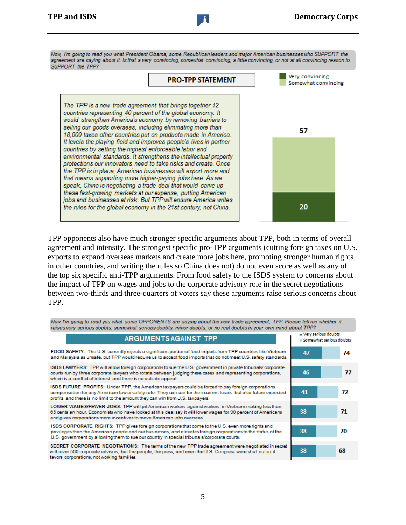Now, I'm going to read you what President Obama, some Republican leaders and major American businesses who SUPPORT the agreement are saying about it. Is that a very convincing, somewhat convincing, a little convincing, or not at all convincing reason to SUPPORT the TPP?



TPP opponents also have much stronger specific arguments about TPP, both in terms of overall agreement and intensity. The strongest specific pro-TPP arguments (cutting foreign taxes on U.S. exports to expand overseas markets and create more jobs here, promoting stronger human rights in other countries, and writing the rules so China does not) do not even score as well as any of the top six specific anti-TPP arguments. From food safety to the ISDS system to concerns about the impact of TPP on wages and jobs to the corporate advisory role in the secret negotiations – between two-thirds and three-quarters of voters say these arguments raise serious concerns about TPP.

Now I'm going to read you what some OPPONENTS are saying about the new trade agreement, TPP. Please tell me whether it

| raises very serious doubts, somewhat serious doubts, minor doubts, or no real doubts in your own mind about TPP?                                                                                                                                                                                                 |                     |                         |
|------------------------------------------------------------------------------------------------------------------------------------------------------------------------------------------------------------------------------------------------------------------------------------------------------------------|---------------------|-------------------------|
| <b>ARGUMENTS AGAINST TPP</b>                                                                                                                                                                                                                                                                                     | very serious doubts | Somewhat serious doubts |
| FOOD SAFETY: The U.S. currently rejects a significant portion of food imports from TPP countries like Vietnam<br>and Malaysia as unsafe, but TPP would require us to accept food imports that do not meet U.S. safety standards.                                                                                 | 47                  | 74                      |
| ISDS LAWYERS: TPP will allow foreign corporations to sue the U.S. government in private tribunals/corporate<br>courts run by three corporate lawyers who rotate between judging these cases and representing corporations,<br>which is a conflict of interest, and there is no outside appeal                    | 46                  | -77                     |
| ISDS FUTURE PROFITS: Under TPP, the American taxpayers could be forced to pay foreign corporations<br>compensation for any American law or safety rule. They can sue for their current losses but also future expected<br>profits, and there is no limit to the amount they can win from U.S. taxpayers.         | 41                  | 72                      |
| LOWER WAGE S/FEWER JOBS: TPP will pit American workers against workers in Vietnam making less than<br>65 cents an hour. Economists who have looked at this deal say it will lower wages for 90 percent of Americans<br>and gives corporations more incentives to move American jobs overseas                     | 38                  | 71                      |
| ISDS CORPORATE RIGHTS: TPP gives foreign corporations that come to the U.S. even more rights and<br>privileges than the American people and our businesses, and elevates foreign corporations to the status of the<br>U.S. government by allowing them to sue our country in special tribunals/corporate courts. | 38                  | 70                      |
| SECRET CORPORATE NEGOTIATIONS: The terms of the new TPP trade agreement were negotiated in secret<br>with over 500 corporate advisors, but the people, the press, and even the U.S. Congress were shut out so it<br>favors corporations, not working families.                                                   | 38                  | 68                      |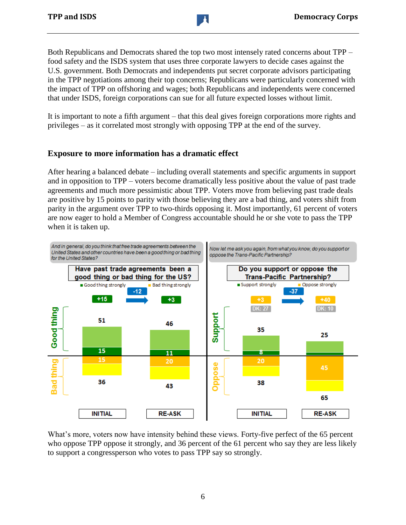Both Republicans and Democrats shared the top two most intensely rated concerns about TPP – food safety and the ISDS system that uses three corporate lawyers to decide cases against the U.S. government. Both Democrats and independents put secret corporate advisors participating in the TPP negotiations among their top concerns; Republicans were particularly concerned with the impact of TPP on offshoring and wages; both Republicans and independents were concerned that under ISDS, foreign corporations can sue for all future expected losses without limit.

It is important to note a fifth argument – that this deal gives foreign corporations more rights and privileges – as it correlated most strongly with opposing TPP at the end of the survey.

#### **Exposure to more information has a dramatic effect**

After hearing a balanced debate – including overall statements and specific arguments in support and in opposition to TPP – voters become dramatically less positive about the value of past trade agreements and much more pessimistic about TPP. Voters move from believing past trade deals are positive by 15 points to parity with those believing they are a bad thing, and voters shift from parity in the argument over TPP to two-thirds opposing it. Most importantly, 61 percent of voters are now eager to hold a Member of Congress accountable should he or she vote to pass the TPP when it is taken up.



What's more, voters now have intensity behind these views. Forty-five perfect of the 65 percent who oppose TPP oppose it strongly, and 36 percent of the 61 percent who say they are less likely to support a congressperson who votes to pass TPP say so strongly.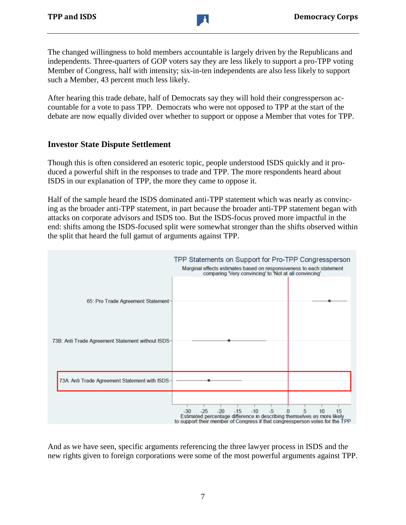The changed willingness to hold members accountable is largely driven by the Republicans and independents. Three-quarters of GOP voters say they are less likely to support a pro-TPP voting Member of Congress, half with intensity; six-in-ten independents are also less likely to support such a Member, 43 percent much less likely.

After hearing this trade debate, half of Democrats say they will hold their congressperson accountable for a vote to pass TPP. Democrats who were not opposed to TPP at the start of the debate are now equally divided over whether to support or oppose a Member that votes for TPP.

### **Investor State Dispute Settlement**

Though this is often considered an esoteric topic, people understood ISDS quickly and it produced a powerful shift in the responses to trade and TPP. The more respondents heard about ISDS in our explanation of TPP, the more they came to oppose it.

Half of the sample heard the ISDS dominated anti-TPP statement which was nearly as convincing as the broader anti-TPP statement, in part because the broader anti-TPP statement began with attacks on corporate advisors and ISDS too. But the ISDS-focus proved more impactful in the end: shifts among the ISDS-focused split were somewhat stronger than the shifts observed within the split that heard the full gamut of arguments against TPP.



And as we have seen, specific arguments referencing the three lawyer process in ISDS and the new rights given to foreign corporations were some of the most powerful arguments against TPP.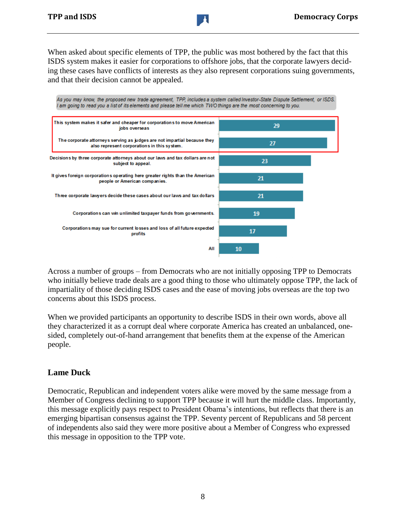When asked about specific elements of TPP, the public was most bothered by the fact that this ISDS system makes it easier for corporations to offshore jobs, that the corporate lawyers deciding these cases have conflicts of interests as they also represent corporations suing governments, and that their decision cannot be appealed.



Across a number of groups – from Democrats who are not initially opposing TPP to Democrats who initially believe trade deals are a good thing to those who ultimately oppose TPP, the lack of impartiality of those deciding ISDS cases and the ease of moving jobs overseas are the top two concerns about this ISDS process.

When we provided participants an opportunity to describe ISDS in their own words, above all they characterized it as a corrupt deal where corporate America has created an unbalanced, onesided, completely out-of-hand arrangement that benefits them at the expense of the American people.

# **Lame Duck**

Democratic, Republican and independent voters alike were moved by the same message from a Member of Congress declining to support TPP because it will hurt the middle class. Importantly, this message explicitly pays respect to President Obama's intentions, but reflects that there is an emerging bipartisan consensus against the TPP. Seventy percent of Republicans and 58 percent of independents also said they were more positive about a Member of Congress who expressed this message in opposition to the TPP vote.